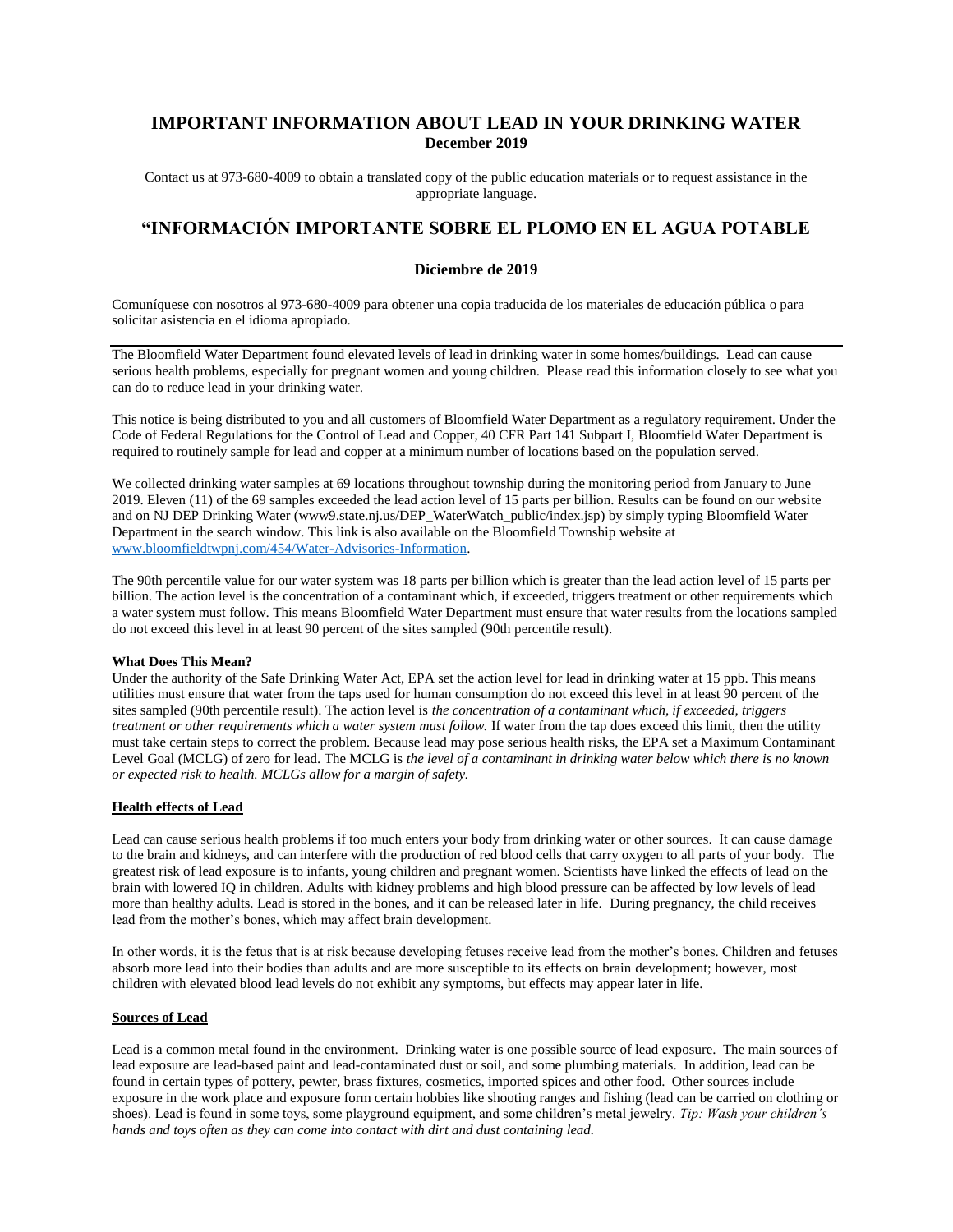## **IMPORTANT INFORMATION ABOUT LEAD IN YOUR DRINKING WATER December 2019**

Contact us at 973-680-4009 to obtain a translated copy of the public education materials or to request assistance in the appropriate language.

# **"INFORMACIÓN IMPORTANTE SOBRE EL PLOMO EN EL AGUA POTABLE**

## **Diciembre de 2019**

Comuníquese con nosotros al 973-680-4009 para obtener una copia traducida de los materiales de educación pública o para solicitar asistencia en el idioma apropiado.

The Bloomfield Water Department found elevated levels of lead in drinking water in some homes/buildings. Lead can cause serious health problems, especially for pregnant women and young children. Please read this information closely to see what you can do to reduce lead in your drinking water.

This notice is being distributed to you and all customers of Bloomfield Water Department as a regulatory requirement. Under the Code of Federal Regulations for the Control of Lead and Copper, 40 CFR Part 141 Subpart I, Bloomfield Water Department is required to routinely sample for lead and copper at a minimum number of locations based on the population served.

We collected drinking water samples at 69 locations throughout township during the monitoring period from January to June 2019. Eleven (11) of the 69 samples exceeded the lead action level of 15 parts per billion. Results can be found on our website and on NJ DEP Drinking Water (www9.state.nj.us/DEP\_WaterWatch\_public/index.jsp) by simply typing Bloomfield Water Department in the search window. This link is also available on the Bloomfield Township website at [www.bloomfieldtwpnj.com/454/Water-Advisories-Information.](http://www.bloomfieldtwpnj.com/454/Water-Advisories-Information)

The 90th percentile value for our water system was 18 parts per billion which is greater than the lead action level of 15 parts per billion. The action level is the concentration of a contaminant which, if exceeded, triggers treatment or other requirements which a water system must follow. This means Bloomfield Water Department must ensure that water results from the locations sampled do not exceed this level in at least 90 percent of the sites sampled (90th percentile result).

#### **What Does This Mean?**

Under the authority of the Safe Drinking Water Act, EPA set the action level for lead in drinking water at 15 ppb. This means utilities must ensure that water from the taps used for human consumption do not exceed this level in at least 90 percent of the sites sampled (90th percentile result). The action level is *the concentration of a contaminant which, if exceeded, triggers treatment or other requirements which a water system must follow.* If water from the tap does exceed this limit, then the utility must take certain steps to correct the problem. Because lead may pose serious health risks, the EPA set a Maximum Contaminant Level Goal (MCLG) of zero for lead. The MCLG is *the level of a contaminant in drinking water below which there is no known or expected risk to health. MCLGs allow for a margin of safety.* 

## **Health effects of Lead**

Lead can cause serious health problems if too much enters your body from drinking water or other sources. It can cause damage to the brain and kidneys, and can interfere with the production of red blood cells that carry oxygen to all parts of your body. The greatest risk of lead exposure is to infants, young children and pregnant women. Scientists have linked the effects of lead on the brain with lowered IQ in children. Adults with kidney problems and high blood pressure can be affected by low levels of lead more than healthy adults. Lead is stored in the bones, and it can be released later in life. During pregnancy, the child receives lead from the mother's bones, which may affect brain development.

In other words, it is the fetus that is at risk because developing fetuses receive lead from the mother's bones. Children and fetuses absorb more lead into their bodies than adults and are more susceptible to its effects on brain development; however, most children with elevated blood lead levels do not exhibit any symptoms, but effects may appear later in life.

#### **Sources of Lead**

Lead is a common metal found in the environment. Drinking water is one possible source of lead exposure. The main sources of lead exposure are lead-based paint and lead-contaminated dust or soil, and some plumbing materials. In addition, lead can be found in certain types of pottery, pewter, brass fixtures, cosmetics, imported spices and other food. Other sources include exposure in the work place and exposure form certain hobbies like shooting ranges and fishing (lead can be carried on clothing or shoes). Lead is found in some toys, some playground equipment, and some children's metal jewelry. *Tip: Wash your children's hands and toys often as they can come into contact with dirt and dust containing lead.*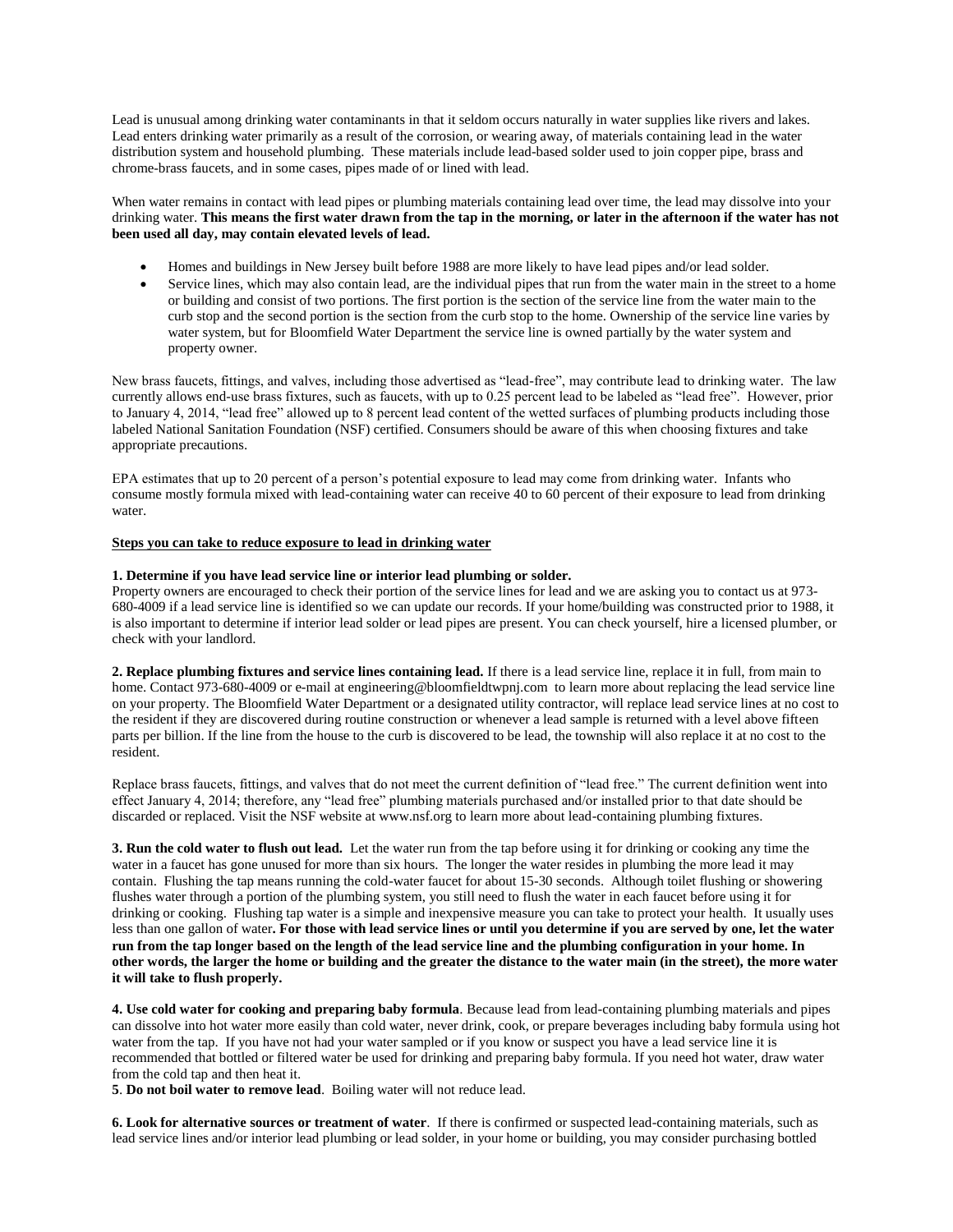Lead is unusual among drinking water contaminants in that it seldom occurs naturally in water supplies like rivers and lakes. Lead enters drinking water primarily as a result of the corrosion, or wearing away, of materials containing lead in the water distribution system and household plumbing. These materials include lead-based solder used to join copper pipe, brass and chrome-brass faucets, and in some cases, pipes made of or lined with lead.

When water remains in contact with lead pipes or plumbing materials containing lead over time, the lead may dissolve into your drinking water. **This means the first water drawn from the tap in the morning, or later in the afternoon if the water has not been used all day, may contain elevated levels of lead.**

- Homes and buildings in New Jersey built before 1988 are more likely to have lead pipes and/or lead solder.
- Service lines, which may also contain lead, are the individual pipes that run from the water main in the street to a home or building and consist of two portions. The first portion is the section of the service line from the water main to the curb stop and the second portion is the section from the curb stop to the home. Ownership of the service line varies by water system, but for Bloomfield Water Department the service line is owned partially by the water system and property owner.

New brass faucets, fittings, and valves, including those advertised as "lead-free", may contribute lead to drinking water. The law currently allows end-use brass fixtures, such as faucets, with up to 0.25 percent lead to be labeled as "lead free". However, prior to January 4, 2014, "lead free" allowed up to 8 percent lead content of the wetted surfaces of plumbing products including those labeled National Sanitation Foundation (NSF) certified. Consumers should be aware of this when choosing fixtures and take appropriate precautions.

EPA estimates that up to 20 percent of a person's potential exposure to lead may come from drinking water. Infants who consume mostly formula mixed with lead-containing water can receive 40 to 60 percent of their exposure to lead from drinking water.

## **Steps you can take to reduce exposure to lead in drinking water**

## **1. Determine if you have lead service line or interior lead plumbing or solder.**

Property owners are encouraged to check their portion of the service lines for lead and we are asking you to contact us at 973- 680-4009 if a lead service line is identified so we can update our records. If your home/building was constructed prior to 1988, it is also important to determine if interior lead solder or lead pipes are present. You can check yourself, hire a licensed plumber, or check with your landlord.

**2. Replace plumbing fixtures and service lines containing lead.** If there is a lead service line, replace it in full, from main to home. Contact 973-680-4009 or e-mail at engineering@bloomfieldtwpnj.com to learn more about replacing the lead service line on your property. The Bloomfield Water Department or a designated utility contractor, will replace lead service lines at no cost to the resident if they are discovered during routine construction or whenever a lead sample is returned with a level above fifteen parts per billion. If the line from the house to the curb is discovered to be lead, the township will also replace it at no cost to the resident.

Replace brass faucets, fittings, and valves that do not meet the current definition of "lead free." The current definition went into effect January 4, 2014; therefore, any "lead free" plumbing materials purchased and/or installed prior to that date should be discarded or replaced. Visit the NSF website at www.nsf.org to learn more about lead-containing plumbing fixtures.

**3. Run the cold water to flush out lead.** Let the water run from the tap before using it for drinking or cooking any time the water in a faucet has gone unused for more than six hours. The longer the water resides in plumbing the more lead it may contain. Flushing the tap means running the cold-water faucet for about 15-30 seconds. Although toilet flushing or showering flushes water through a portion of the plumbing system, you still need to flush the water in each faucet before using it for drinking or cooking. Flushing tap water is a simple and inexpensive measure you can take to protect your health. It usually uses less than one gallon of water**. For those with lead service lines or until you determine if you are served by one, let the water run from the tap longer based on the length of the lead service line and the plumbing configuration in your home. In other words, the larger the home or building and the greater the distance to the water main (in the street), the more water it will take to flush properly.**

**4. Use cold water for cooking and preparing baby formula**. Because lead from lead-containing plumbing materials and pipes can dissolve into hot water more easily than cold water, never drink, cook, or prepare beverages including baby formula using hot water from the tap. If you have not had your water sampled or if you know or suspect you have a lead service line it is recommended that bottled or filtered water be used for drinking and preparing baby formula. If you need hot water, draw water from the cold tap and then heat it.

**5**. **Do not boil water to remove lead**. Boiling water will not reduce lead.

**6. Look for alternative sources or treatment of water**. If there is confirmed or suspected lead-containing materials, such as lead service lines and/or interior lead plumbing or lead solder, in your home or building, you may consider purchasing bottled